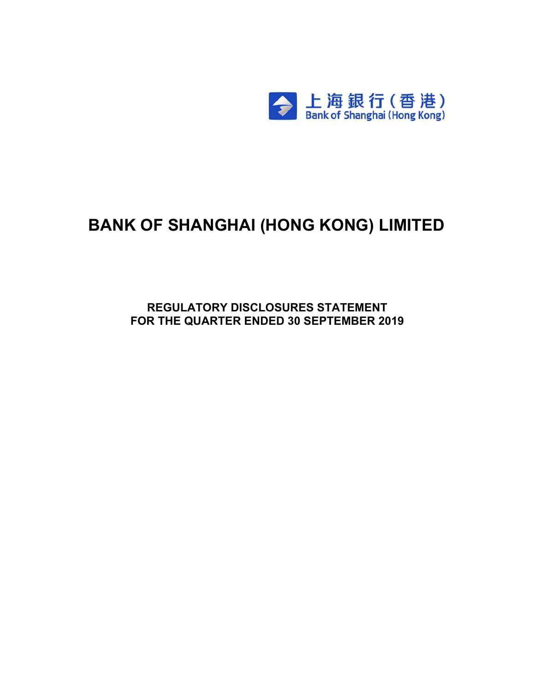

# **BANK OF SHANGHAI (HONG KONG) LIMITED**

**REGULATORY DISCLOSURES STATEMENT FOR THE QUARTER ENDED 30 SEPTEMBER 2019**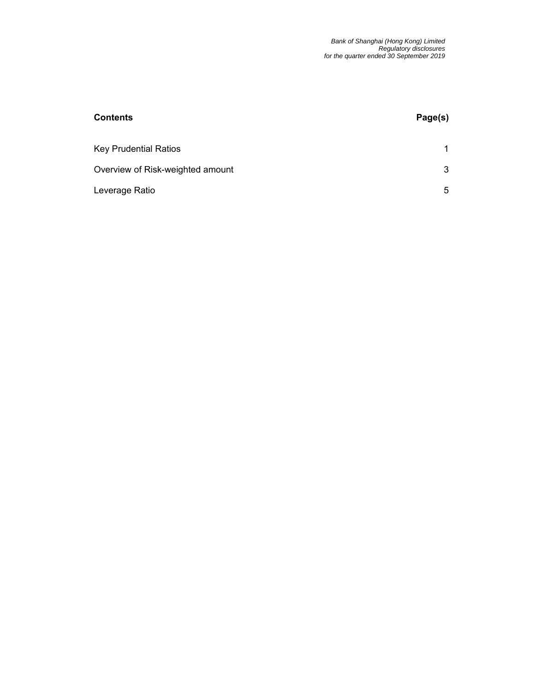| <b>Contents</b>                  | Page(s) |
|----------------------------------|---------|
| <b>Key Prudential Ratios</b>     | 1       |
| Overview of Risk-weighted amount | 3       |
| Leverage Ratio                   | 5       |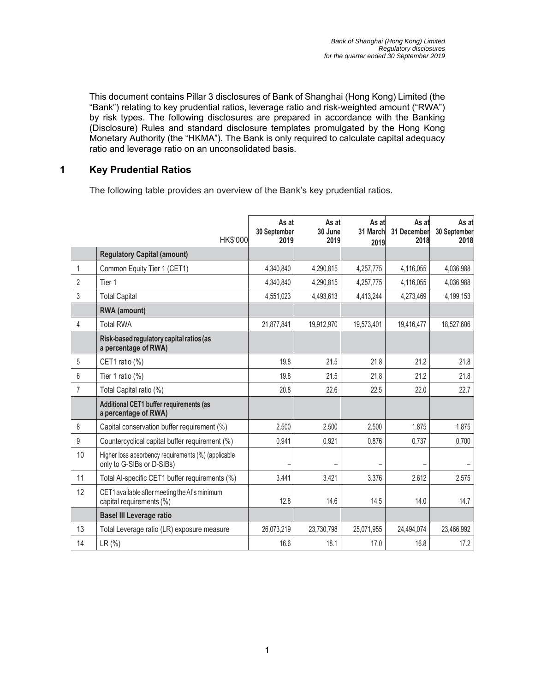This document contains Pillar 3 disclosures of Bank of Shanghai (Hong Kong) Limited (the "Bank") relating to key prudential ratios, leverage ratio and risk-weighted amount ("RWA") by risk types. The following disclosures are prepared in accordance with the Banking (Disclosure) Rules and standard disclosure templates promulgated by the Hong Kong Monetary Authority (the "HKMA"). The Bank is only required to calculate capital adequacy ratio and leverage ratio on an unconsolidated basis.

#### **1 Key Prudential Ratios**

The following table provides an overview of the Bank's key prudential ratios.

|                | <b>HK\$'000</b>                                                                  | As at<br>30 September<br>2019 | As at<br>30 June<br>2019 | As at<br>31 March<br>2019 | As at<br>31 December<br>2018 | As at<br>30 September<br>2018 |
|----------------|----------------------------------------------------------------------------------|-------------------------------|--------------------------|---------------------------|------------------------------|-------------------------------|
|                | <b>Regulatory Capital (amount)</b>                                               |                               |                          |                           |                              |                               |
| $\mathbf{1}$   | Common Equity Tier 1 (CET1)                                                      | 4,340,840                     | 4,290,815                | 4,257,775                 | 4,116,055                    | 4,036,988                     |
| $\overline{2}$ | Tier 1                                                                           | 4,340,840                     | 4,290,815                | 4,257,775                 | 4,116,055                    | 4,036,988                     |
| 3              | <b>Total Capital</b>                                                             | 4,551,023                     | 4,493,613                | 4,413,244                 | 4,273,469                    | 4,199,153                     |
|                | <b>RWA</b> (amount)                                                              |                               |                          |                           |                              |                               |
| 4              | <b>Total RWA</b>                                                                 | 21,877,841                    | 19,912,970               | 19,573,401                | 19,416,477                   | 18,527,606                    |
|                | Risk-based regulatory capital ratios (as<br>a percentage of RWA)                 |                               |                          |                           |                              |                               |
| 5              | CET1 ratio (%)                                                                   | 19.8                          | 21.5                     | 21.8                      | 21.2                         | 21.8                          |
| 6              | Tier 1 ratio (%)                                                                 | 19.8                          | 21.5                     | 21.8                      | 21.2                         | 21.8                          |
| $\overline{7}$ | Total Capital ratio (%)                                                          | 20.8                          | 22.6                     | 22.5                      | 22.0                         | 22.7                          |
|                | Additional CET1 buffer requirements (as<br>a percentage of RWA)                  |                               |                          |                           |                              |                               |
| 8              | Capital conservation buffer requirement (%)                                      | 2.500                         | 2.500                    | 2.500                     | 1.875                        | 1.875                         |
| 9              | Countercyclical capital buffer requirement (%)                                   | 0.941                         | 0.921                    | 0.876                     | 0.737                        | 0.700                         |
| 10             | Higher loss absorbency requirements (%) (applicable<br>only to G-SIBs or D-SIBs) |                               |                          |                           |                              |                               |
| 11             | Total Al-specific CET1 buffer requirements (%)                                   | 3.441                         | 3.421                    | 3.376                     | 2.612                        | 2.575                         |
| 12             | CET1 available after meeting the AI's minimum<br>capital requirements (%)        | 12.8                          | 14.6                     | 14.5                      | 14.0                         | 14.7                          |
|                | <b>Basel III Leverage ratio</b>                                                  |                               |                          |                           |                              |                               |
| 13             | Total Leverage ratio (LR) exposure measure                                       | 26,073,219                    | 23,730,798               | 25,071,955                | 24,494,074                   | 23,466,992                    |
| 14             | LR(%)                                                                            | 16.6                          | 18.1                     | 17.0                      | 16.8                         | 17.2                          |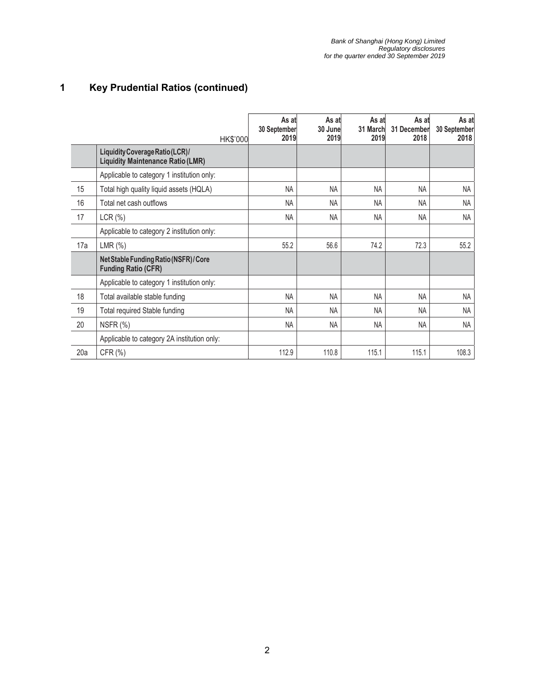## **1 Key Prudential Ratios (continued)**

|     |                                                                             | HK\$'000 | As at<br>30 September<br>2019 | As at<br>30 June<br>2019 | As at<br>31 March<br>2019 | As at<br>31 December<br>2018 | As at<br>30 September<br>2018 |
|-----|-----------------------------------------------------------------------------|----------|-------------------------------|--------------------------|---------------------------|------------------------------|-------------------------------|
|     | Liquidity Coverage Ratio (LCR)/<br><b>Liquidity Maintenance Ratio (LMR)</b> |          |                               |                          |                           |                              |                               |
|     | Applicable to category 1 institution only:                                  |          |                               |                          |                           |                              |                               |
| 15  | Total high quality liquid assets (HQLA)                                     |          | <b>NA</b>                     | <b>NA</b>                | <b>NA</b>                 | <b>NA</b>                    | NA                            |
| 16  | Total net cash outflows                                                     |          | <b>NA</b>                     | <b>NA</b>                | <b>NA</b>                 | <b>NA</b>                    | <b>NA</b>                     |
| 17  | LCR(%)                                                                      |          | <b>NA</b>                     | <b>NA</b>                | <b>NA</b>                 | <b>NA</b>                    | <b>NA</b>                     |
|     | Applicable to category 2 institution only:                                  |          |                               |                          |                           |                              |                               |
| 17a | $LMR$ $(\%)$                                                                |          | 55.2                          | 56.6                     | 74.2                      | 72.3                         | 55.2                          |
|     | Net Stable Funding Ratio (NSFR) / Core<br><b>Funding Ratio (CFR)</b>        |          |                               |                          |                           |                              |                               |
|     | Applicable to category 1 institution only:                                  |          |                               |                          |                           |                              |                               |
| 18  | Total available stable funding                                              |          | <b>NA</b>                     | <b>NA</b>                | NA                        | <b>NA</b>                    | <b>NA</b>                     |
| 19  | Total required Stable funding                                               |          | <b>NA</b>                     | <b>NA</b>                | <b>NA</b>                 | <b>NA</b>                    | <b>NA</b>                     |
| 20  | NSFR (%)                                                                    |          | <b>NA</b>                     | NA                       | NA                        | <b>NA</b>                    | <b>NA</b>                     |
|     | Applicable to category 2A institution only:                                 |          |                               |                          |                           |                              |                               |
| 20a | CFR (%)                                                                     |          | 112.9                         | 110.8                    | 115.1                     | 115.1                        | 108.3                         |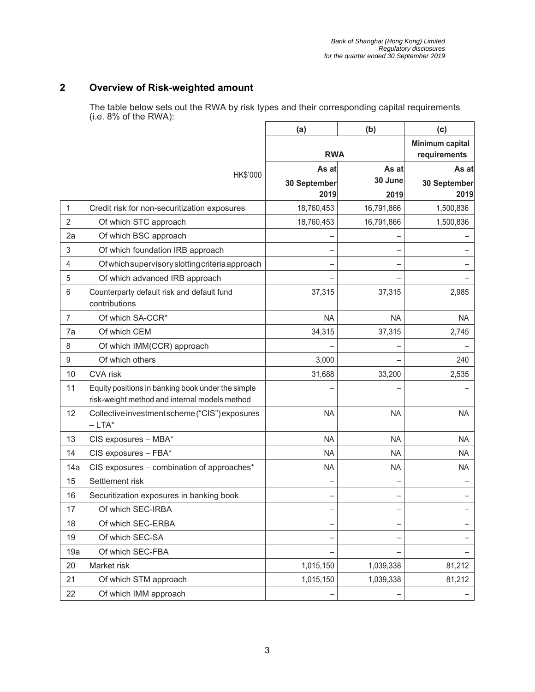#### **2 Overview of Risk-weighted amount**

The table below sets out the RWA by risk types and their corresponding capital requirements (i.e. 8% of the RWA):

|                |                                                                                                    | (a)          | (b)        | (c)                             |
|----------------|----------------------------------------------------------------------------------------------------|--------------|------------|---------------------------------|
|                |                                                                                                    | <b>RWA</b>   |            | Minimum capital<br>requirements |
|                |                                                                                                    | As at        | As at      | As at                           |
|                | HK\$'000                                                                                           | 30 September | 30 June    | 30 September                    |
|                |                                                                                                    | 2019         | 2019       | 2019                            |
| 1              | Credit risk for non-securitization exposures                                                       | 18,760,453   | 16,791,866 | 1,500,836                       |
| $\overline{2}$ | Of which STC approach                                                                              | 18,760,453   | 16,791,866 | 1,500,836                       |
| 2a             | Of which BSC approach                                                                              |              |            |                                 |
| 3              | Of which foundation IRB approach                                                                   |              |            |                                 |
| 4              | Of which supervisory slotting criteria approach                                                    |              |            |                                 |
| 5              | Of which advanced IRB approach                                                                     |              |            |                                 |
| 6              | Counterparty default risk and default fund<br>contributions                                        | 37,315       | 37,315     | 2,985                           |
| $\overline{7}$ | Of which SA-CCR*                                                                                   | <b>NA</b>    | <b>NA</b>  | <b>NA</b>                       |
| 7a             | Of which CEM                                                                                       | 34,315       | 37,315     | 2,745                           |
| 8              | Of which IMM(CCR) approach                                                                         |              |            |                                 |
| $9\,$          | Of which others                                                                                    | 3,000        |            | 240                             |
| 10             | <b>CVA</b> risk                                                                                    | 31,688       | 33,200     | 2,535                           |
| 11             | Equity positions in banking book under the simple<br>risk-weight method and internal models method |              |            |                                 |
| 12             | Collective investment scheme ("CIS") exposures<br>$-LTA^*$                                         | <b>NA</b>    | <b>NA</b>  | <b>NA</b>                       |
| 13             | CIS exposures - MBA*                                                                               | <b>NA</b>    | <b>NA</b>  | <b>NA</b>                       |
| 14             | CIS exposures - FBA*                                                                               | <b>NA</b>    | <b>NA</b>  | <b>NA</b>                       |
| 14a            | CIS exposures - combination of approaches*                                                         | <b>NA</b>    | <b>NA</b>  | <b>NA</b>                       |
| 15             | Settlement risk                                                                                    |              |            |                                 |
| 16             | Securitization exposures in banking book                                                           |              |            |                                 |
| 17             | Of which SEC-IRBA                                                                                  |              |            |                                 |
| 18             | Of which SEC-ERBA                                                                                  |              |            |                                 |
| 19             | Of which SEC-SA                                                                                    |              |            |                                 |
| 19a            | Of which SEC-FBA                                                                                   |              |            |                                 |
| 20             | Market risk                                                                                        | 1,015,150    | 1,039,338  | 81,212                          |
| 21             | Of which STM approach                                                                              | 1,015,150    | 1,039,338  | 81,212                          |
| 22             | Of which IMM approach                                                                              |              |            |                                 |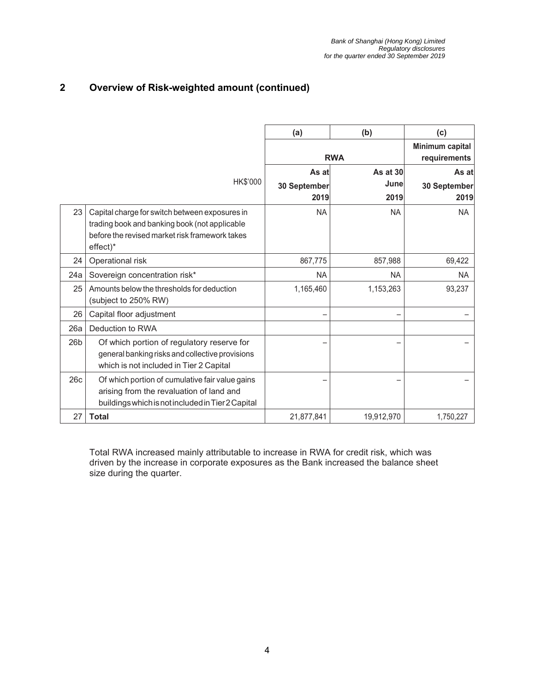#### **2 Overview of Risk-weighted amount (continued)**

|     |                                                                                                                                                               | (a)          | (b)                             | (c)          |
|-----|---------------------------------------------------------------------------------------------------------------------------------------------------------------|--------------|---------------------------------|--------------|
|     |                                                                                                                                                               | <b>RWA</b>   | Minimum capital<br>requirements |              |
|     |                                                                                                                                                               | As at        | As at 30                        | As at        |
|     | HK\$'000                                                                                                                                                      | 30 September | June                            | 30 September |
|     |                                                                                                                                                               | 2019         | 2019                            | 2019         |
| 23  | Capital charge for switch between exposures in<br>trading book and banking book (not applicable<br>before the revised market risk framework takes<br>effect)* | <b>NA</b>    | <b>NA</b>                       | NA.          |
| 24  | Operational risk                                                                                                                                              | 867,775      | 857,988                         | 69,422       |
| 24a | Sovereign concentration risk*                                                                                                                                 | <b>NA</b>    | <b>NA</b>                       | <b>NA</b>    |
| 25  | Amounts below the thresholds for deduction<br>(subject to 250% RW)                                                                                            | 1,165,460    | 1,153,263                       | 93,237       |
| 26  | Capital floor adjustment                                                                                                                                      |              |                                 |              |
| 26a | Deduction to RWA                                                                                                                                              |              |                                 |              |
| 26b | Of which portion of regulatory reserve for<br>general banking risks and collective provisions<br>which is not included in Tier 2 Capital                      |              |                                 |              |
| 26c | Of which portion of cumulative fair value gains<br>arising from the revaluation of land and<br>buildings which is not included in Tier 2 Capital              |              |                                 |              |
| 27  | <b>Total</b>                                                                                                                                                  | 21,877,841   | 19,912,970                      | 1,750,227    |

Total RWA increased mainly attributable to increase in RWA for credit risk, which was driven by the increase in corporate exposures as the Bank increased the balance sheet size during the quarter.